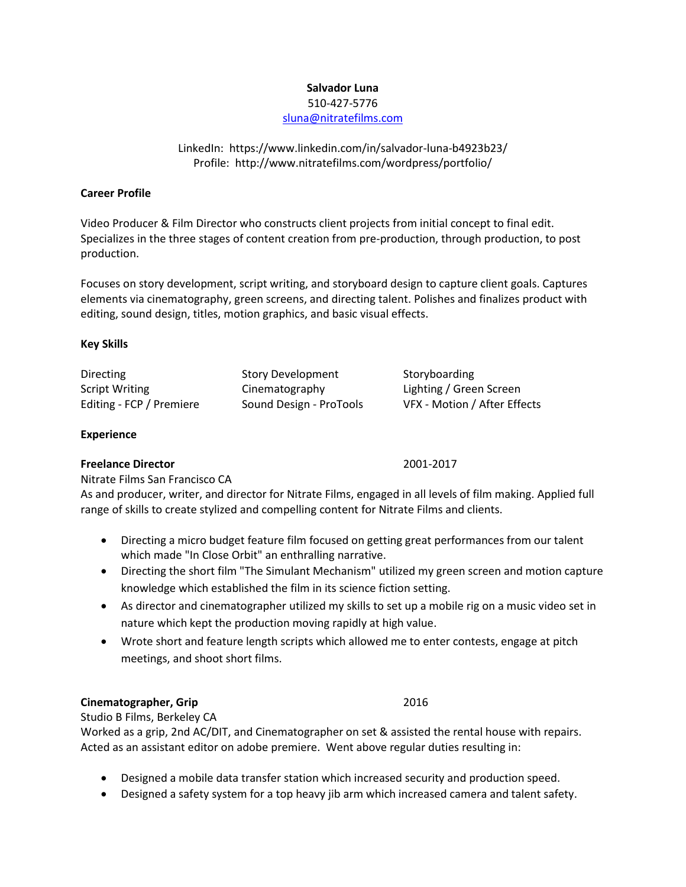#### **Salvador Luna**

#### 510-427-5776

[sluna@nitratefilms.com](mailto:sluna@nitratefilms.com)

# LinkedIn:<https://www.linkedin.com/in/salvador-luna-b4923b23/> Profile: <http://www.nitratefilms.com/wordpress/portfolio/>

# **Career Profile**

Video Producer & Film Director who constructs client projects from initial concept to final edit. Specializes in the three stages of content creation from pre-production, through production, to post production.

Focuses on story development, script writing, and storyboard design to capture client goals. Captures elements via cinematography, green screens, and directing talent. Polishes and finalizes product with editing, sound design, titles, motion graphics, and basic visual effects.

# **Key Skills**

| Directing                | <b>Story Development</b> | Storyboarding                |
|--------------------------|--------------------------|------------------------------|
| <b>Script Writing</b>    | Cinematography           | Lighting / Green Screen      |
| Editing - FCP / Premiere | Sound Design - ProTools  | VFX - Motion / After Effects |

# **Experience**

# **Freelance Director** 2001-2017

Nitrate Films San Francisco CA

As and producer, writer, and director for Nitrate Films, engaged in all levels of film making. Applied full range of skills to create stylized and compelling content for Nitrate Films and clients.

- Directing a micro budget feature film focused on getting great performances from our talent which made "In Close Orbit" an enthralling narrative.
- Directing the short film "The Simulant Mechanism" utilized my green screen and motion capture knowledge which established the film in its science fiction setting.
- As director and cinematographer utilized my skills to set up a mobile rig on a music video set in nature which kept the production moving rapidly at high value.
- Wrote short and feature length scripts which allowed me to enter contests, engage at pitch meetings, and shoot short films.

# **Cinematographer, Grip** 2016

Studio B Films, Berkeley CA Worked as a grip, 2nd AC/DIT, and Cinematographer on set & assisted the rental house with repairs. Acted as an assistant editor on adobe premiere. Went above regular duties resulting in:

- Designed a mobile data transfer station which increased security and production speed.
- Designed a safety system for a top heavy jib arm which increased camera and talent safety.